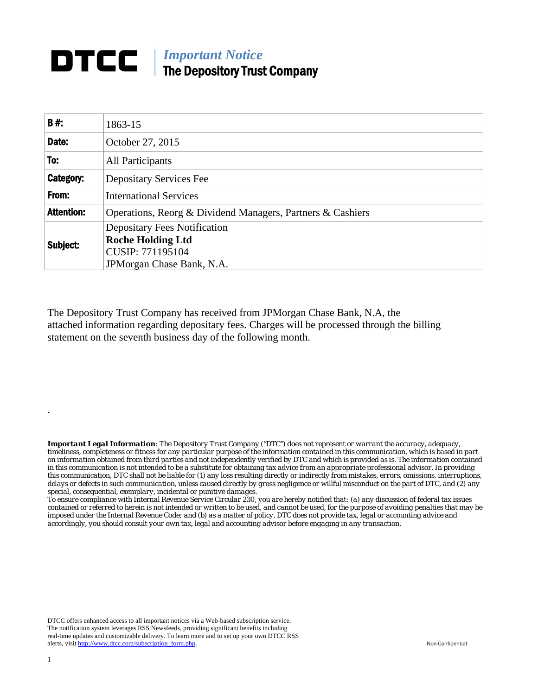## *Important Notice* The Depository Trust Company

| <b>B#</b>         | 1863-15                                                    |  |  |  |  |  |
|-------------------|------------------------------------------------------------|--|--|--|--|--|
| Date:             | October 27, 2015                                           |  |  |  |  |  |
| To:               | All Participants                                           |  |  |  |  |  |
| Category:         | <b>Depositary Services Fee</b>                             |  |  |  |  |  |
| From:             | <b>International Services</b>                              |  |  |  |  |  |
| <b>Attention:</b> | Operations, Reorg & Dividend Managers, Partners & Cashiers |  |  |  |  |  |
| Subject:          | <b>Depositary Fees Notification</b>                        |  |  |  |  |  |
|                   | <b>Roche Holding Ltd</b>                                   |  |  |  |  |  |
|                   | CUSIP: 771195104                                           |  |  |  |  |  |
|                   | JPM organ Chase Bank, N.A.                                 |  |  |  |  |  |

The Depository Trust Company has received from JPMorgan Chase Bank, N.A, the attached information regarding depositary fees. Charges will be processed through the billing statement on the seventh business day of the following month.

*Important Legal Information: The Depository Trust Company ("DTC") does not represent or warrant the accuracy, adequacy, timeliness, completeness or fitness for any particular purpose of the information contained in this communication, which is based in part on information obtained from third parties and not independently verified by DTC and which is provided as is. The information contained in this communication is not intended to be a substitute for obtaining tax advice from an appropriate professional advisor. In providing this communication, DTC shall not be liable for (1) any loss resulting directly or indirectly from mistakes, errors, omissions, interruptions, delays or defects in such communication, unless caused directly by gross negligence or willful misconduct on the part of DTC, and (2) any special, consequential, exemplary, incidental or punitive damages.*

*To ensure compliance with Internal Revenue Service Circular 230, you are hereby notified that: (a) any discussion of federal tax issues contained or referred to herein is not intended or written to be used, and cannot be used, for the purpose of avoiding penalties that may be imposed under the Internal Revenue Code; and (b) as a matter of policy, DTC does not provide tax, legal or accounting advice and accordingly, you should consult your own tax, legal and accounting advisor before engaging in any transaction.*

DTCC offers enhanced access to all important notices via a Web-based subscription service. The notification system leverages RSS Newsfeeds, providing significant benefits including real-time updates and customizable delivery. To learn more and to set up your own DTCC RSS alerts, visit [http://www.dtcc.com/subscription\\_form.php.](http://www.dtcc.com/subscription_form.php) Non-Confidential

.